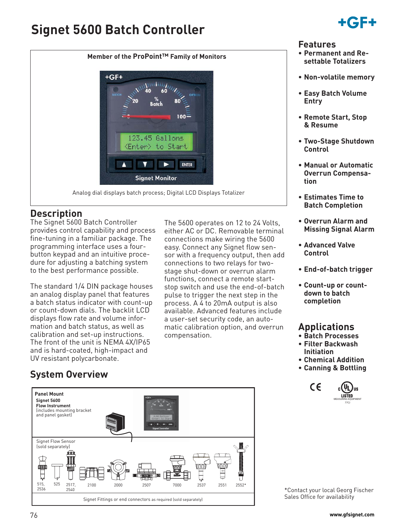# **Signet 5600 Batch Controller**

 $+GF+$ 



#### **Features**

- **Permanent and Resettable Totalizers**
- **Non-volatile memory**
- **Easy Batch Volume Entry**
- **Remote Start, Stop & Resume**
- **Two-Stage Shutdown Control**
- **Manual or Automatic Overrun Compensation**
- **Estimates Time to Batch Completion**
- **Overrun Alarm and Missing Signal Alarm**
- **Advanced Valve Control**
- **End-of-batch trigger**
- **Count-up or countdown to batch completion**

## **Applications**

- **Batch Processes**
- **Filter Backwash Initiation**
- **Chemical Addition**
- **Canning & Bottling**



\*Contact your local Georg Fischer Sales Office for availability

# **System Overview**

UV resistant polycarbonate.

**Description**

The Signet 5600 Batch Controller provides control capability and process fine-tuning in a familiar package. The programming interface uses a fourbutton keypad and an intuitive procedure for adjusting a batching system to the best performance possible.

The standard 1/4 DIN package houses an analog display panel that features a batch status indicator with count-up or count-down dials. The backlit LCD displays flow rate and volume information and batch status, as well as calibration and set-up instructions. The front of the unit is NEMA 4X/IP65 and is hard-coated, high-impact and



Analog dial displays batch process; Digital LCD Displays Totalizer

**Signet Monitor** 

123.45 Gallons

to Start

<Enter>

**Member of the ProPoint™ Family of Monitors**

 $100 -$ 

ENTER

The 5600 operates on 12 to 24 Volts, either AC or DC. Removable terminal connections make wiring the 5600 easy. Connect any Signet flow sensor with a frequency output, then add connections to two relays for twostage shut-down or overrun alarm functions, connect a remote startstop switch and use the end-of-batch pulse to trigger the next step in the process. A 4 to 20mA output is also available. Advanced features include a user-set security code, an automatic calibration option, and overrun

compensation.

- 
- 76 **www.gfsignet.com**